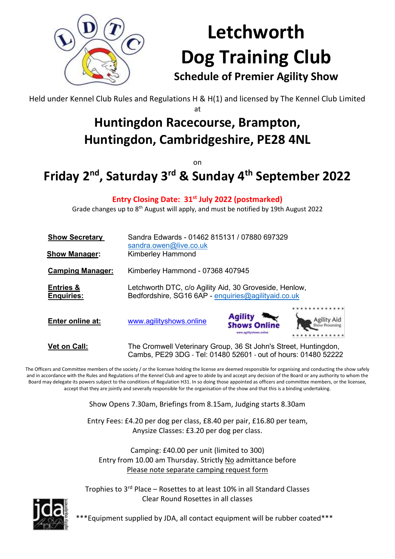

# **Letchworth Dog Training Club Schedule of Premier Agility Show**

Held under Kennel Club Rules and Regulations H & H(1) and licensed by The Kennel Club Limited at

## **Huntingdon Racecourse, Brampton, Huntingdon, Cambridgeshire, PE28 4NL**

on

# **Friday 2 nd, Saturday 3 rd & Sunday 4 th September 2022**

**Entry Closing Date: 31st July 2022 (postmarked)**

Grade changes up to 8<sup>th</sup> August will apply, and must be notified by 19th August 2022

| <b>Show Secretary</b>                     | Sandra Edwards - 01462 815131 / 07880 697329<br>sandra.owen@live.co.uk                                                            |                                                             |             |  |  |  |
|-------------------------------------------|-----------------------------------------------------------------------------------------------------------------------------------|-------------------------------------------------------------|-------------|--|--|--|
| <b>Show Manager:</b>                      | <b>Kimberley Hammond</b>                                                                                                          |                                                             |             |  |  |  |
| <b>Camping Manager:</b>                   | Kimberley Hammond - 07368 407945                                                                                                  |                                                             |             |  |  |  |
| <b>Entries &amp;</b><br><b>Enquiries:</b> | Letchworth DTC, c/o Agility Aid, 30 Groveside, Henlow,<br>Bedfordshire, SG16 6AP - enquiries@agilityaid.co.uk                     |                                                             |             |  |  |  |
| Enter online at:                          | www.agilityshows.online                                                                                                           | <b>Agility</b><br><b>Shows Online</b><br>solityshows online | Agility Aid |  |  |  |
| <b>Vet on Call:</b>                       | The Cromwell Veterinary Group, 36 St John's Street, Huntingdon,<br>Cambs, PE29 3DG - Tel: 01480 52601 - out of hours: 01480 52222 |                                                             |             |  |  |  |

The Officers and Committee members of the society / or the licensee holding the license are deemed responsible for organising and conducting the show safely and in accordance with the Rules and Regulations of the Kennel Club and agree to abide by and accept any decision of the Board or any authority to whom the Board may delegate its powers subject to the conditions of Regulation H31. In so doing those appointed as officers and committee members, or the licensee, accept that they are jointly and severally responsible for the organisation of the show and that this is a binding undertaking.

Show Opens 7.30am, Briefings from 8.15am, Judging starts 8.30am

Entry Fees: £4.20 per dog per class, £8.40 per pair, £16.80 per team, Anysize Classes: £3.20 per dog per class.

Camping: £40.00 per unit (limited to 300) Entry from 10.00 am Thursday. Strictly No admittance before Please note separate camping request form

Trophies to 3rd Place – Rosettes to at least 10% in all Standard Classes Clear Round Rosettes in all classes



\*\*\*Equipment supplied by JDA, all contact equipment will be rubber coated\*\*\*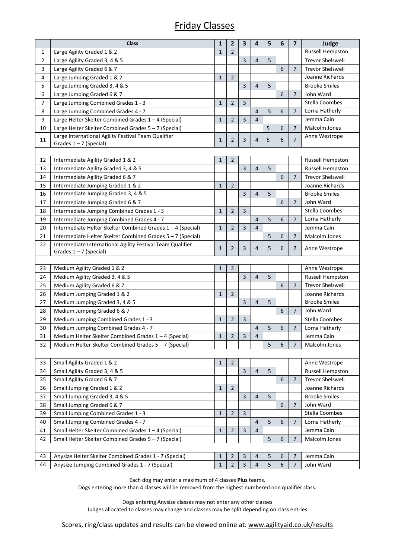## Friday Classes

|    | <b>Class</b>                                                                           | $\mathbf{1}$ | $\overline{2}$ | $\overline{\mathbf{3}}$ | 4 | 5 | 6 | $\overline{\mathbf{z}}$ | Judge                   |
|----|----------------------------------------------------------------------------------------|--------------|----------------|-------------------------|---|---|---|-------------------------|-------------------------|
| 1  | Large Agility Graded 1 & 2                                                             | $\mathbf{1}$ | $\overline{2}$ |                         |   |   |   |                         | Russell Hempston        |
| 2  | Large Agility Graded 3, 4 & 5                                                          |              |                | $\overline{3}$          | 4 | 5 |   |                         | <b>Trevor Shelswell</b> |
| 3  | Large Agility Graded 6 & 7                                                             |              |                |                         |   |   | 6 | $\overline{7}$          | <b>Trevor Shelswell</b> |
| 4  | Large Jumping Graded 1 & 2                                                             | $\mathbf{1}$ | $\overline{2}$ |                         |   |   |   |                         | Joanne Richards         |
| 5  | Large Jumping Graded 3, 4 & 5                                                          |              |                | 3                       | 4 | 5 |   |                         | <b>Brooke Smiles</b>    |
| 6  | Large Jumping Graded 6 & 7                                                             |              |                |                         |   |   | 6 | 7                       | John Ward               |
| 7  | Large Jumping Combined Grades 1 - 3                                                    | $\mathbf{1}$ | 2              | 3                       |   |   |   |                         | Stella Coombes          |
| 8  | Large Jumping Combined Grades 4 - 7                                                    |              |                |                         | 4 | 5 | 6 | $\overline{7}$          | Lorna Hatherly          |
| 9  | Large Helter Skelter Combined Grades 1 - 4 (Special)                                   | $\mathbf{1}$ | $\overline{2}$ | 3                       | 4 |   |   |                         | Jemma Cain              |
| 10 | Large Helter Skelter Combined Grades 5 - 7 (Special)                                   |              |                |                         |   | 5 | 6 | $\overline{7}$          | Malcolm Jones           |
| 11 | Large International Agility Festival Team Qualifier                                    | $\mathbf{1}$ | $\overline{2}$ | 3                       | 4 | 5 | 6 | 7                       | Anne Westrope           |
|    | Grades 1-7 (Special)                                                                   |              |                |                         |   |   |   |                         |                         |
|    |                                                                                        |              |                |                         |   |   |   |                         |                         |
| 12 | Intermediate Agility Graded 1 & 2                                                      | $\mathbf{1}$ | $\overline{2}$ |                         |   |   |   |                         | Russell Hempston        |
| 13 | Intermediate Agility Graded 3, 4 & 5                                                   |              |                | 3                       | 4 | 5 |   |                         | <b>Russell Hempston</b> |
| 14 | Intermediate Agility Graded 6 & 7                                                      |              |                |                         |   |   | 6 | $\overline{7}$          | <b>Trevor Shelswell</b> |
| 15 | Intermediate Jumping Graded 1 & 2                                                      | $\mathbf{1}$ | $\overline{2}$ |                         |   |   |   |                         | Joanne Richards         |
| 16 | Intermediate Jumping Graded 3, 4 & 5                                                   |              |                | 3                       | 4 | 5 |   |                         | <b>Brooke Smiles</b>    |
| 17 | Intermediate Jumping Graded 6 & 7                                                      |              |                |                         |   |   | 6 | 7                       | John Ward               |
| 18 | Intermediate Jumping Combined Grades 1 - 3                                             | $\mathbf{1}$ | $\overline{2}$ | 3                       |   |   |   |                         | Stella Coombes          |
| 19 | Intermediate Jumping Combined Grades 4 - 7                                             |              |                |                         | 4 | 5 | 6 | $\overline{7}$          | Lorna Hatherly          |
| 20 | Intermediate Helter Skelter Combined Grades 1 - 4 (Special)                            | $\mathbf{1}$ | $\overline{2}$ | $\overline{3}$          | 4 |   |   |                         | Jemma Cain              |
| 21 | Intermediate Helter Skelter Combined Grades 5 - 7 (Special)                            |              |                |                         |   | 5 | 6 | 7                       | Malcolm Jones           |
| 22 | Intermediate International Agility Festival Team Qualifier<br>Grades $1 - 7$ (Special) | $\mathbf{1}$ | 2              | 3                       | 4 | 5 | 6 | 7                       | Anne Westrope           |
|    |                                                                                        |              |                |                         |   |   |   |                         |                         |
| 23 | Medium Agility Graded 1 & 2                                                            | $\mathbf{1}$ | $\overline{2}$ |                         |   |   |   |                         | Anne Westrope           |
| 24 | Medium Agility Graded 3, 4 & 5                                                         |              |                | $\overline{3}$          | 4 | 5 |   |                         | <b>Russell Hempston</b> |
| 25 | Medium Agility Graded 6 & 7                                                            |              |                |                         |   |   | 6 | 7                       | <b>Trevor Shelswell</b> |
| 26 | Medium Jumping Graded 1 & 2                                                            | $\mathbf{1}$ | $\overline{2}$ |                         |   |   |   |                         | Joanne Richards         |
| 27 | Medium Jumping Graded 3, 4 & 5                                                         |              |                | 3                       | 4 | 5 |   |                         | <b>Brooke Smiles</b>    |
| 28 | Medium Jumping Graded 6 & 7                                                            |              |                |                         |   |   | 6 | $\overline{7}$          | John Ward               |
| 29 | Medium Jumping Combined Grades 1 - 3                                                   | $\mathbf{1}$ | $\overline{2}$ | $\overline{3}$          |   |   |   |                         | Stella Coombes          |
| 30 | Medium Jumping Combined Grades 4 - 7                                                   |              |                |                         | 4 | 5 | 6 | $\overline{7}$          | Lorna Hatherly          |
| 31 | Medium Helter Skelter Combined Grades 1 - 4 (Special)                                  | $\mathbf{1}$ | $\overline{2}$ | $\overline{3}$          | 4 |   |   |                         | Jemma Cain              |
| 32 | Medium Helter Skelter Combined Grades 5 - 7 (Special)                                  |              |                |                         |   | 5 | 6 | 7                       | Malcolm Jones           |
|    |                                                                                        |              |                |                         |   |   |   |                         |                         |
| 33 | Small Agility Graded 1 & 2                                                             | $\mathbf{1}$ | $\overline{2}$ |                         |   |   |   |                         | Anne Westrope           |
| 34 | Small Agility Graded 3, 4 & 5                                                          |              |                | 3                       | 4 | 5 |   |                         | Russell Hempston        |
| 35 | Small Agility Graded 6 & 7                                                             |              |                |                         |   |   | 6 | 7                       | <b>Trevor Shelswell</b> |
| 36 | Small Jumping Graded 1 & 2                                                             | $1\,$        | $\overline{2}$ |                         |   |   |   |                         | Joanne Richards         |
| 37 | Small Jumping Graded 3, 4 & 5                                                          |              |                | 3                       | 4 | 5 |   |                         | <b>Brooke Smiles</b>    |
| 38 | Small Jumping Graded 6 & 7                                                             |              |                |                         |   |   | 6 | 7                       | John Ward               |
| 39 | Small Jumping Combined Grades 1 - 3                                                    | $\mathbf{1}$ | 2              | 3                       |   |   |   |                         | Stella Coombes          |
| 40 | Small Jumping Combined Grades 4 - 7                                                    |              |                |                         | 4 | 5 | 6 | 7                       | Lorna Hatherly          |
| 41 | Small Helter Skelter Combined Grades 1 - 4 (Special)                                   | $\mathbf{1}$ | 2              | 3                       | 4 |   |   |                         | Jemma Cain              |
| 42 | Small Helter Skelter Combined Grades 5 - 7 (Special)                                   |              |                |                         |   | 5 | 6 | 7                       | Malcolm Jones           |
|    |                                                                                        |              |                |                         |   |   |   |                         |                         |
| 43 | Anysize Helter Skelter Combined Grades 1 - 7 (Special)                                 | $\mathbf{1}$ | 2              | 3                       | 4 | 5 | 6 | 7                       | Jemma Cain              |
| 44 | Anysize Jumping Combined Grades 1 - 7 (Special)                                        | $\mathbf{1}$ | 2              | $\overline{3}$          | 4 | 5 | 6 | 7                       | John Ward               |
|    |                                                                                        |              |                |                         |   |   |   |                         |                         |

Each dog may enter a maximum of 4 classes **Plus** teams.

Dogs entering more than 4 classes will be removed from the highest numbered non qualifier class.

Dogs entering Anysize classes may not enter any other classes Judges allocated to classes may change and classes may be split depending on class entries

Scores, ring/class updates and results can be viewed online at: [www.agilityaid.co.uk/results](http://www.agilityaid.co.uk/results)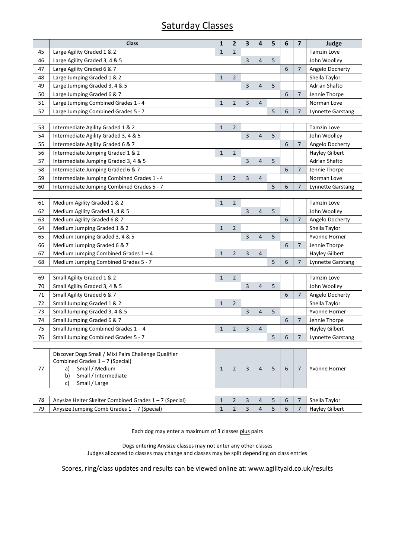## Saturday Classes

|    | <b>Class</b>                                                                                                                                                           | $\mathbf{1}$ | $\overline{\mathbf{2}}$ | $\overline{\mathbf{3}}$ | 4              | 5 | 6                | $\overline{\mathbf{z}}$ | Judge                    |
|----|------------------------------------------------------------------------------------------------------------------------------------------------------------------------|--------------|-------------------------|-------------------------|----------------|---|------------------|-------------------------|--------------------------|
| 45 | Large Agility Graded 1 & 2                                                                                                                                             |              | $\overline{2}$          |                         |                |   |                  |                         | <b>Tamzin Love</b>       |
| 46 | Large Agility Graded 3, 4 & 5                                                                                                                                          |              |                         | 3                       | $\overline{4}$ | 5 |                  |                         | John Woolley             |
| 47 | Large Agility Graded 6 & 7                                                                                                                                             |              |                         |                         |                |   | 6                | $\overline{7}$          | Angelo Docherty          |
| 48 | Large Jumping Graded 1 & 2                                                                                                                                             | 1            | $\overline{2}$          |                         |                |   |                  |                         | Sheila Taylor            |
| 49 | Large Jumping Graded 3, 4 & 5                                                                                                                                          |              |                         | 3                       | $\overline{4}$ | 5 |                  |                         | Adrian Shafto            |
| 50 | Large Jumping Graded 6 & 7                                                                                                                                             |              |                         |                         |                |   | 6                | $\overline{7}$          | Jennie Thorpe            |
| 51 | Large Jumping Combined Grades 1 - 4                                                                                                                                    | 1            | $\overline{2}$          | 3                       | 4              |   |                  |                         | Norman Love              |
| 52 | Large Jumping Combined Grades 5 - 7                                                                                                                                    |              |                         |                         |                | 5 | 6                | 7                       | Lynnette Garstang        |
|    |                                                                                                                                                                        |              |                         |                         |                |   |                  |                         |                          |
| 53 | Intermediate Agility Graded 1 & 2                                                                                                                                      | 1            | $\overline{2}$          |                         |                |   |                  |                         | <b>Tamzin Love</b>       |
| 54 | Intermediate Agility Graded 3, 4 & 5                                                                                                                                   |              |                         | 3                       | $\overline{4}$ | 5 |                  |                         | John Woolley             |
| 55 | Intermediate Agility Graded 6 & 7                                                                                                                                      |              |                         |                         |                |   | 6                | $\overline{7}$          | Angelo Docherty          |
| 56 | Intermediate Jumping Graded 1 & 2                                                                                                                                      | 1            | $\overline{2}$          |                         |                |   |                  |                         | Hayley Gilbert           |
| 57 | Intermediate Jumping Graded 3, 4 & 5                                                                                                                                   |              |                         | 3                       | $\overline{4}$ | 5 |                  |                         | Adrian Shafto            |
| 58 | Intermediate Jumping Graded 6 & 7                                                                                                                                      |              |                         |                         |                |   | 6                | $\overline{7}$          | Jennie Thorpe            |
| 59 | Intermediate Jumping Combined Grades 1 - 4                                                                                                                             | 1            | $\overline{2}$          | 3                       | $\overline{4}$ |   |                  |                         | Norman Love              |
| 60 | Intermediate Jumping Combined Grades 5 - 7                                                                                                                             |              |                         |                         |                | 5 | 6                | 7                       | Lynnette Garstang        |
|    |                                                                                                                                                                        |              |                         |                         |                |   |                  |                         |                          |
| 61 | Medium Agility Graded 1 & 2                                                                                                                                            | 1            | $\overline{2}$          |                         |                |   |                  |                         | <b>Tamzin Love</b>       |
| 62 | Medium Agility Graded 3, 4 & 5                                                                                                                                         |              |                         | 3                       | $\overline{4}$ | 5 |                  |                         | John Woolley             |
| 63 | Medium Agility Graded 6 & 7                                                                                                                                            |              |                         |                         |                |   | 6                | 7                       | Angelo Docherty          |
| 64 | Medium Jumping Graded 1 & 2                                                                                                                                            | 1            | $\overline{2}$          |                         |                |   |                  |                         | Sheila Taylor            |
| 65 | Medium Jumping Graded 3, 4 & 5                                                                                                                                         |              |                         | 3                       | 4              | 5 |                  |                         | Yvonne Horner            |
| 66 | Medium Jumping Graded 6 & 7                                                                                                                                            |              |                         |                         |                |   | 6                | $\overline{7}$          | Jennie Thorpe            |
| 67 | Medium Jumping Combined Grades $1 - 4$                                                                                                                                 | 1            | 2                       | 3                       | 4              |   |                  |                         | <b>Hayley Gilbert</b>    |
| 68 | Medium Jumping Combined Grades 5 - 7                                                                                                                                   |              |                         |                         |                | 5 | 6                | 7                       | <b>Lynnette Garstang</b> |
|    |                                                                                                                                                                        |              |                         |                         |                |   |                  |                         |                          |
| 69 | Small Agility Graded 1 & 2                                                                                                                                             | 1            | $\overline{2}$          |                         |                |   |                  |                         | <b>Tamzin Love</b>       |
| 70 | Small Agility Graded 3, 4 & 5                                                                                                                                          |              |                         | 3                       | 4              | 5 |                  |                         | John Woolley             |
| 71 | Small Agility Graded 6 & 7                                                                                                                                             |              |                         |                         |                |   | 6                | 7                       | Angelo Docherty          |
| 72 | Small Jumping Graded 1 & 2                                                                                                                                             | 1            | 2                       |                         |                |   |                  |                         | Sheila Taylor            |
| 73 | Small Jumping Graded 3, 4 & 5                                                                                                                                          |              |                         | 3                       | 4              | 5 |                  |                         | Yvonne Horner            |
| 74 | Small Jumping Graded 6 & 7                                                                                                                                             |              |                         |                         |                |   | 6                | $\overline{7}$          | Jennie Thorpe            |
| 75 | Small Jumping Combined Grades $1 - 4$                                                                                                                                  | 1            | $\overline{2}$          | 3                       | 4              |   |                  |                         | <b>Hayley Gilbert</b>    |
| 76 | Small Jumping Combined Grades 5 - 7                                                                                                                                    |              |                         |                         |                | 5 | $\boldsymbol{6}$ | 7 <sup>7</sup>          | Lynnette Garstang        |
|    |                                                                                                                                                                        |              |                         |                         |                |   |                  |                         |                          |
| 77 | Discover Dogs Small / Mixi Pairs Challenge Qualifier<br>Combined Grades $1 - 7$ (Special)<br>Small / Medium<br>a)<br>b)<br>Small / Intermediate<br>Small / Large<br>c) | $\mathbf{1}$ | $\overline{2}$          | 3                       | $\overline{4}$ | 5 | 6                | 7                       | Yvonne Horner            |
|    |                                                                                                                                                                        |              |                         |                         |                |   |                  |                         |                          |
| 78 | Anysize Helter Skelter Combined Grades 1-7 (Special)                                                                                                                   | 1            | $\overline{2}$          | 3                       | 4              | 5 | 6                | $\overline{7}$          | Sheila Taylor            |
| 79 | Anysize Jumping Comb Grades $1 - 7$ (Special)                                                                                                                          | $\mathbf{1}$ | $\overline{2}$          | $\mathbf{3}$            | $\overline{4}$ | 5 | 6                | $\overline{7}$          | <b>Hayley Gilbert</b>    |

Each dog may enter a maximum of 3 classes plus pairs

Dogs entering Anysize classes may not enter any other classes Judges allocated to classes may change and classes may be split depending on class entries

Scores, ring/class updates and results can be viewed online at: [www.agilityaid.co.uk/results](http://www.agilityaid.co.uk/results)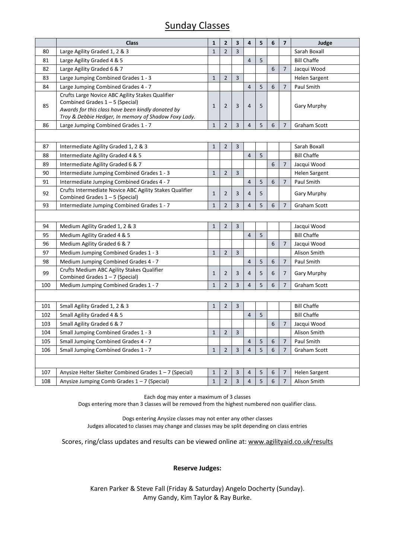## Sunday Classes

|     | <b>Class</b>                                                                                              | $\mathbf{1}$ | 2              | 3                       | 4              | 5 | 6          | $\overline{\phantom{a}}$ | Judge                |
|-----|-----------------------------------------------------------------------------------------------------------|--------------|----------------|-------------------------|----------------|---|------------|--------------------------|----------------------|
| 80  | Large Agility Graded 1, 2 & 3                                                                             | $\mathbf{1}$ | $\overline{2}$ | 3                       |                |   |            |                          | Sarah Boxall         |
| 81  | Large Agility Graded 4 & 5                                                                                |              |                |                         | $\overline{4}$ | 5 |            |                          | <b>Bill Chaffe</b>   |
| 82  | Large Agility Graded 6 & 7                                                                                |              |                |                         |                |   | 6          | 7                        | Jacqui Wood          |
| 83  | Large Jumping Combined Grades 1 - 3                                                                       | $1\,$        | $\overline{2}$ | 3                       |                |   |            |                          | <b>Helen Sargent</b> |
| 84  | Large Jumping Combined Grades 4 - 7                                                                       |              |                |                         | 4              | 5 | 6          | $\overline{7}$           | Paul Smith           |
| 85  | Crufts Large Novice ABC Agility Stakes Qualifier<br>Combined Grades $1 - 5$ (Special)                     | $\mathbf{1}$ | $\overline{2}$ | 3                       | $\overline{4}$ | 5 |            |                          | <b>Gary Murphy</b>   |
|     | Awards for this class have been kindly donated by<br>Troy & Debbie Hedger, In memory of Shadow Foxy Lady. |              |                |                         |                |   |            |                          |                      |
| 86  | Large Jumping Combined Grades 1 - 7                                                                       | 1            | 2              | 3                       | 4              | 5 | 6          | 7                        | Graham Scott         |
|     |                                                                                                           |              |                |                         |                |   |            |                          |                      |
| 87  | Intermediate Agility Graded 1, 2 & 3                                                                      | $\mathbf{1}$ | $\overline{2}$ | 3                       |                |   |            |                          | Sarah Boxall         |
| 88  | Intermediate Agility Graded 4 & 5                                                                         |              |                |                         | $\overline{4}$ | 5 |            |                          | <b>Bill Chaffe</b>   |
| 89  | Intermediate Agility Graded 6 & 7                                                                         |              |                |                         |                |   | 6          | 7                        | Jacqui Wood          |
| 90  | Intermediate Jumping Combined Grades 1 - 3                                                                | $\mathbf{1}$ | $\overline{2}$ | 3                       |                |   |            |                          | <b>Helen Sargent</b> |
| 91  | Intermediate Jumping Combined Grades 4 - 7                                                                |              |                |                         | $\overline{4}$ | 5 | 6          | $\overline{7}$           | Paul Smith           |
| 92  | Crufts Intermediate Novice ABC Agility Stakes Qualifier<br>Combined Grades 1-5 (Special)                  | $1\,$        | $\overline{2}$ | 3                       | 4              | 5 |            |                          | Gary Murphy          |
| 93  | Intermediate Jumping Combined Grades 1 - 7                                                                | $1\,$        | $\overline{2}$ | 3                       | 4              | 5 | 6          | $\overline{7}$           | Graham Scott         |
|     |                                                                                                           |              |                |                         |                |   |            |                          |                      |
| 94  | Medium Agility Graded 1, 2 & 3                                                                            | $\mathbf{1}$ | $\overline{2}$ | $\overline{3}$          |                |   |            |                          | Jacqui Wood          |
| 95  | Medium Agility Graded 4 & 5                                                                               |              |                |                         | $\overline{4}$ | 5 |            |                          | <b>Bill Chaffe</b>   |
| 96  | Medium Agility Graded 6 & 7                                                                               |              |                |                         |                |   | 6          | 7                        | Jacqui Wood          |
| 97  | Medium Jumping Combined Grades 1 - 3                                                                      | $\mathbf{1}$ | 2              | 3                       |                |   |            |                          | Alison Smith         |
| 98  | Medium Jumping Combined Grades 4 - 7                                                                      |              |                |                         | $\overline{4}$ | 5 | 6          | $\overline{7}$           | Paul Smith           |
| 99  | Crufts Medium ABC Agility Stakes Qualifier<br>Combined Grades 1-7 (Special)                               | $\mathbf{1}$ | 2              | 3                       | 4              | 5 | 6          | 7                        | <b>Gary Murphy</b>   |
| 100 | Medium Jumping Combined Grades 1 - 7                                                                      | $\mathbf{1}$ | $\overline{2}$ | 3                       | 4              | 5 | 6          | $\overline{7}$           | Graham Scott         |
|     |                                                                                                           |              |                |                         |                |   |            |                          |                      |
| 101 | Small Agility Graded 1, 2 & 3                                                                             | $\mathbf{1}$ | 2              | $\overline{3}$          |                |   |            |                          | <b>Bill Chaffe</b>   |
| 102 | Small Agility Graded 4 & 5                                                                                |              |                |                         | $\overline{4}$ | 5 |            |                          | <b>Bill Chaffe</b>   |
| 103 | Small Agility Graded 6 & 7                                                                                |              |                |                         |                |   | 6          | $\overline{7}$           | Jacqui Wood          |
| 104 | Small Jumping Combined Grades 1 - 3                                                                       | $\mathbf{1}$ | $\overline{2}$ | 3                       |                |   |            |                          | Alison Smith         |
| 105 | Small Jumping Combined Grades 4 - 7                                                                       |              |                |                         | 4              | 5 | 6          | 7                        | Paul Smith           |
| 106 | Small Jumping Combined Grades 1 - 7                                                                       | $\mathbf{1}$ | $\overline{c}$ | $\overline{\mathbf{3}}$ | 4              | 5 | $\sqrt{6}$ | 7                        | Graham Scott         |
|     |                                                                                                           |              |                |                         |                |   |            |                          |                      |
| 107 | Anysize Helter Skelter Combined Grades 1-7 (Special)                                                      | $\mathbf{1}$ | $\overline{2}$ | 3                       | 4              | 5 | 6          | 7                        | <b>Helen Sargent</b> |
| 108 | Anysize Jumping Comb Grades 1-7 (Special)                                                                 | $\mathbf{1}$ | 2              | 3                       | 4              | 5 | 6          | 7                        | Alison Smith         |

Each dog may enter a maximum of 3 classes Dogs entering more than 3 classes will be removed from the highest numbered non qualifier class.

Dogs entering Anysize classes may not enter any other classes Judges allocated to classes may change and classes may be split depending on class entries

Scores, ring/class updates and results can be viewed online at: [www.agilityaid.co.uk/results](http://www.agilityaid.co.uk/results)

#### **Reserve Judges:**

Karen Parker & Steve Fall (Friday & Saturday) Angelo Docherty (Sunday). Amy Gandy, Kim Taylor & Ray Burke.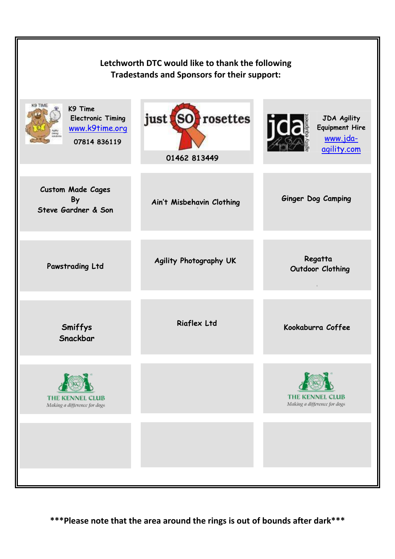| Letchworth DTC would like to thank the following<br><b>Tradestands and Sponsors for their support:</b> |                                          |                                                                        |  |  |  |
|--------------------------------------------------------------------------------------------------------|------------------------------------------|------------------------------------------------------------------------|--|--|--|
| K9 TIME<br>K9 Time<br><b>Electronic Timing</b><br>www.k9time.org<br>07814 836119                       | rosettes<br>just<br>(SO)<br>01462 813449 | <b>JDA Agility</b><br><b>Equipment Hire</b><br>www.jda-<br>agility.com |  |  |  |
| <b>Custom Made Cages</b><br>By<br>Steve Gardner & Son                                                  | Ain't Misbehavin Clothing                | Ginger Dog Camping                                                     |  |  |  |
| Pawstrading Ltd                                                                                        | Agility Photography UK                   | Regatta<br>Outdoor Clothing<br>$\epsilon$                              |  |  |  |
| Smiffys<br>Snackbar                                                                                    | <b>Riaflex Ltd</b>                       | Kookaburra Coffee                                                      |  |  |  |
| <b>THE KENNEL CLUB</b><br>Making a difference for dogs                                                 |                                          | <b>THE KENNEL CLUB</b><br>Making a difference for dogs                 |  |  |  |
|                                                                                                        |                                          |                                                                        |  |  |  |

 $\mathbb F$ 

**\*\*\*Please note that the area around the rings is out of bounds after dark\*\*\***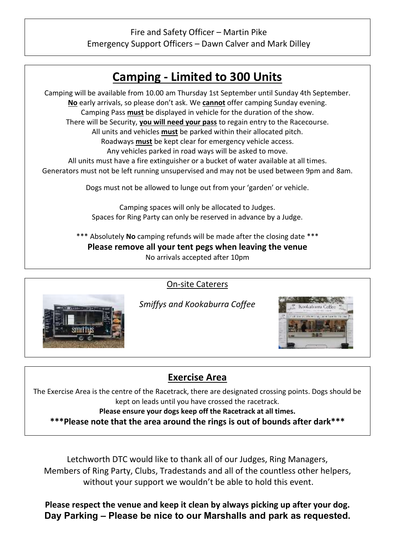## Fire and Safety Officer – Martin Pike Emergency Support Officers – Dawn Calver and Mark Dilley





*Smiffys and Kookaburra Coffee*

On-site Caterers



The Exercise Area is the centre of the Racetrack, there are designated crossing points. Dogs should be kept on leads until you have crossed the racetrack.

**Please ensure your dogs keep off the Racetrack at all times.**

**\*\*\*Please note that the area around the rings is out of bounds after dark\*\*\***

Letchworth DTC would like to thank all of our Judges, Ring Managers, Members of Ring Party, Clubs, Tradestands and all of the countless other helpers, without your support we wouldn't be able to hold this event.

**Please respect the venue and keep it clean by always picking up after your dog. Day Parking – Please be nice to our Marshalls and park as requested.**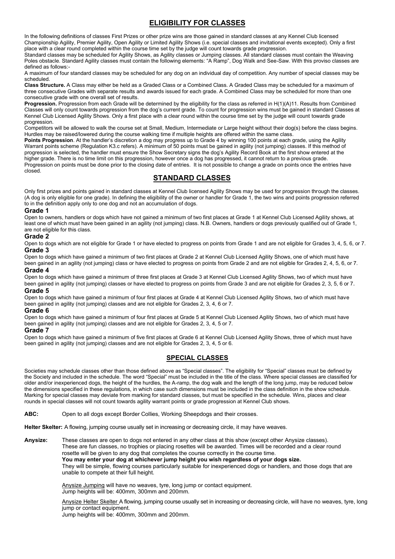## **ELIGIBILITY FOR CLASSES**

In the following definitions of classes First Prizes or other prize wins are those gained in standard classes at any Kennel Club licensed Championship Agility, Premier Agility, Open Agility or Limited Agility Shows (i.e. special classes and invitational events excepted). Only a first place with a clear round completed within the course time set by the judge will count towards grade progression.

Standard classes may be scheduled for Agility Shows, as Agility classes or Jumping classes. All standard classes must contain the Weaving Poles obstacle. Standard Agility classes must contain the following elements: "A Ramp", Dog Walk and See-Saw. With this proviso classes are defined as follows:-

A maximum of four standard classes may be scheduled for any dog on an individual day of competition. Any number of special classes may be scheduled.

**Class Structure.** A Class may either be held as a Graded Class or a Combined Class. A Graded Class may be scheduled for a maximum of three consecutive Grades with separate results and awards issued for each grade. A Combined Class may be scheduled for more than one consecutive grade with one overall set of results.

**Progression.** Progression from each Grade will be determined by the eligibility for the class as referred in H(1)(A)11. Results from Combined Classes will only count towards progression from the dog's current grade. To count for progression wins must be gained in standard Classes at Kennel Club Licensed Agility Shows. Only a first place with a clear round within the course time set by the judge will count towards grade progression.

Competitors will be allowed to walk the course set at Small, Medium, Intermediate or Large height without their dog(s) before the class begins. Hurdles may be raised/lowered during the course walking time if multiple heights are offered within the same class.

Points Progression. At the handler's discretion a dog may progress up to Grade 4 by winning 100 points at each grade, using the Agility Warrant points scheme (Regulation K3.c refers). A minimum of 50 points must be gained in agility (not jumping) classes. If this method of progression is selected, the handler must ensure the Show Secretary signs the dog's Agility Record Book at the first show entered at the higher grade. There is no time limit on this progression, however once a dog has progressed, it cannot return to a previous grade. Progression on points must be done prior to the closing date of entries. It is not possible to change a grade on points once the entries have closed.

### **STANDARD CLASSES**

Only first prizes and points gained in standard classes at Kennel Club licensed Agility Shows may be used for progression through the classes. (A dog is only eligible for one grade). In defining the eligibility of the owner or handler for Grade 1, the two wins and points progression referred to in the definition apply only to one dog and not an accumulation of dogs.

#### **Grade 1**

Open to owners, handlers or dogs which have not gained a minimum of two first places at Grade 1 at Kennel Club Licensed Agility shows, at least one of which must have been gained in an agility (not jumping) class. N.B. Owners, handlers or dogs previously qualified out of Grade 1, are not eligible for this class.

#### **Grade 2**

Open to dogs which are not eligible for Grade 1 or have elected to progress on points from Grade 1 and are not eligible for Grades 3, 4, 5, 6, or 7. **Grade 3**

Open to dogs which have gained a minimum of two first places at Grade 2 at Kennel Club Licensed Agility Shows, one of which must have been gained in an agility (not jumping) class or have elected to progress on points from Grade 2 and are not eligible for Grades 2, 4, 5, 6, or 7. **Grade 4** 

Open to dogs which have gained a minimum of three first places at Grade 3 at Kennel Club Licensed Agility Shows, two of which must have been gained in agility (not jumping) classes or have elected to progress on points from Grade 3 and are not eligible for Grades 2, 3, 5, 6 or 7. **Grade 5**

Open to dogs which have gained a minimum of four first places at Grade 4 at Kennel Club Licensed Agility Shows, two of which must have been gained in agility (not jumping) classes and are not eligible for Grades 2, 3, 4, 6 or 7.

#### **Grade 6**

Open to dogs which have gained a minimum of four first places at Grade 5 at Kennel Club Licensed Agility Shows, two of which must have been gained in agility (not jumping) classes and are not eligible for Grades 2, 3, 4, 5 or 7.

#### **Grade 7**

Open to dogs which have gained a minimum of five first places at Grade 6 at Kennel Club Licensed Agility Shows, three of which must have been gained in agility (not jumping) classes and are not eligible for Grades 2, 3, 4, 5 or 6.

### **SPECIAL CLASSES**

Societies may schedule classes other than those defined above as "Special classes". The eligibility for "Special" classes must be defined by the Society and included in the schedule. The word "Special" must be included in the title of the class. Where special classes are classified for older and/or inexperienced dogs, the height of the hurdles, the A-ramp, the dog walk and the length of the long jump, may be reduced below the dimensions specified in these regulations, in which case such dimensions must be included in the class definition in the show schedule. Marking for special classes may deviate from marking for standard classes, but must be specified in the schedule. Wins, places and clear rounds in special classes will not count towards agility warrant points or grade progression at Kennel Club shows.

**ABC:** Open to all dogs except Border Collies, Working Sheepdogs and their crosses.

**Helter Skelter:** A flowing, jumping course usually set in increasing or decreasing circle, it may have weaves.

**Anysize:** These classes are open to dogs not entered in any other class at this show (except other Anysize classes). These are fun classes, no trophies or placing rosettes will be awarded. Times will be recorded and a clear round rosette will be given to any dog that completes the course correctly in the course time. **You may enter your dog at whichever jump height you wish regardless of your dogs size.** They will be simple, flowing courses particularly suitable for inexperienced dogs or handlers, and those dogs that are unable to compete at their full height.

> Anysize Jumping will have no weaves, tyre, long jump or contact equipment. Jump heights will be: 400mm, 300mm and 200mm.

Anysize Helter Skelter A flowing, jumping course usually set in increasing or decreasing circle, will have no weaves, tyre, long jump or contact equipment.

Jump heights will be: 400mm, 300mm and 200mm.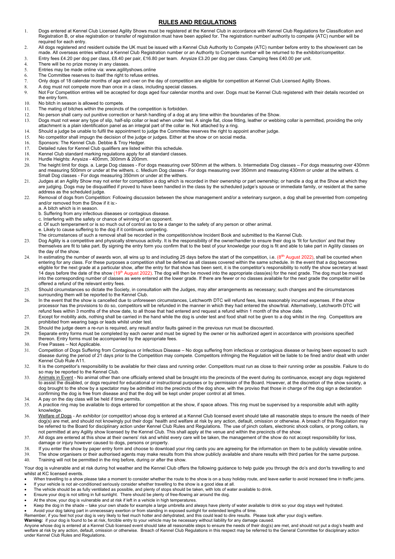#### **RULES AND REGULATIONS**

- Dogs entered at Kennel Club Licensed Agility Shows must be registered at the Kennel Club in accordance with Kennel Club Regulations for Classification and Registration B, or else registration or transfer of registration must have been applied for. The registration number/ authority to compete (ATC) number will be required for each entry.
- All dogs registered and resident outside the UK must be issued with a Kennel Club Authority to Compete (ATC) number before entry to the show/event can be made. All overseas entries without a Kennel Club Registration number or an Authority to Compete number will be returned to the exhibitor/competitor.
- Entry fees £4.20 per dog per class, £8.40 per pair, £16.80 per team. Anysize £3.20 per dog per class. Camping fees £40.00 per unit.
- 4. There will be no prize money in any classes.
- Entries may be made online via: www.agilityshows.online
- The Committee reserves to itself the right to refuse entries.
- Only dogs of 18 calendar months of age and over on the day of competition are eligible for competition at Kennel Club Licensed Agility Shows.
- A dog must not compete more than once in a class, including special classes.
- 9. Not For Competition entries will be accepted for dogs aged four calendar months and over. Dogs must be Kennel Club registered with their details recorded on the entry form.
- 10. No bitch in season is allowed to compete.
- 11. The mating of bitches within the precincts of the competition is forbidden.
- 12. No person shall carry out punitive correction or harsh handling of a dog at any time within the boundaries of the Show.
- 13. Dogs must not wear any type of slip, half-slip collar or lead when under test. A single flat, close fitting, leather or webbing collar is permitted, providing the only attachment is a plain identification panel as an integral part of the collar ie. Not attached by a ring.
- Should a judge be unable to fulfil the appointment to judge the Committee reserves the right to appoint another judge.
- No competitor shall impugn the decision of the judge or judges. Either at the show or on social media.
- 16. Sponsors: The Kennel Club. Debbie & Troy Hedger.
- 17. Detailed rules for Kennel Club qualifiers are listed within this schedule.
- 18. Kennel Club standard marking regulations apply for all standard classes.
- 19. Hurdle Heights: Anysize 400mm, 300mm & 200mm.
- The height limit for dogs. a. Large Dog classes For dogs measuring over 500mm at the withers. b. Intermediate Dog classes For dogs measuring over 430mm and measuring 500mm or under at the withers. c. Medium Dog classes - For dogs measuring over 350mm and measuring 430mm or under at the withers. d. Small Dog classes - For dogs measuring 350mm or under at the withers.
- Judges at an Agility Show may not enter for competition a dog which is recorded in their ownership or part ownership; or handle a dog at the Show at which they are judging. Dogs may be disqualified if proved to have been handled in the class by the scheduled judge's spouse or immediate family, or resident at the same address as the scheduled judge.
- 22. Removal of dogs from Competition: Following discussion between the show management and/or a veterinary surgeon, a dog shall be prevented from competing and/or removed from the Show if it is:
	- a. A bitch which is in season.
	- b. Suffering from any infectious diseases or contagious disease.
	- c. Interfering with the safety or chance of winning of an opponent.
	- d. Of such temperament or is so much out of control as to be a danger to the safety of any person or other animal.
	- e. Likely to cause suffering to the dog if it continues competing.
	- The circumstances of such a removal shall be recorded in the competition/show Incident Book and submitted to the Kennel Club.
- 23. Dog Agility is a competitive and physically strenuous activity. It is the responsibility of the owner/handler to ensure their dog is 'fit for function' and that they themselves are fit to take part. By signing the entry form you confirm that to the best of your knowledge your dog is fit and able to take part in Agility classes on the day of the show.
- 24. In estimating the number of awards won, all wins up to and including 25 days before the start of the competition, i.e. (8<sup>tth</sup> August 2022), shall be counted when entering for any class. For these purposes a competition shall be defined as all classes covered within the same schedule. In the event that a dog becomes eligible for the next grade at a particular show, after the entry for that show has been sent, it is the competitor's responsibility to notify the show secretary at least 14 days before the date of the show (19<sup>th</sup> August 2022). The dog will then be moved into the appropriate class(es) for the next grade. The dog must be moved into the corresponding number of classes as were entered at the lower grade. If there are fewer or no classes available for the next grade the competitor will be offered a refund of the relevant entry fees.
- Should circumstances so dictate the Society, in consultation with the Judges, may alter arrangements as necessary; such changes and the circumstances surrounding them will be reported to the Kennel Club.
- In the event that the show is cancelled due to unforeseen circumstances, Letchworth DTC will refund fees, less reasonably incurred expenses. If the show processor has the provisions to do so, competitors will be refunded in the manner in which they had entered the show/trial. Alternatively, Letchworth DTC will refund fees within 3 months of the show date, to all those that had entered and request a refund within 1 month of the show date.
- 27. Except for mobility aids, nothing shall be carried in the hand while the dog is under test and food shall not be given to a dog whilst in the ring. Competitors are prohibited from wearing bags or leads whilst under test.
- Should the judge deem a re-run is required, any result and/or faults gained in the previous run must be discounted.
- Separate entry forms must be completed by each owner and must be signed by the owner or his authorized agent in accordance with provisions specified thereon. Entry forms must be accompanied by the appropriate fees.
- 30. Free Passes Not Applicable.
- Competition of Dogs Suffering from Contagious or Infectious Disease No dogs suffering from infectious or contagious disease or having been exposed to such disease during the period of 21 days prior to the Competition may compete. Competitors infringing the Regulation will be liable to be fined and/or dealt with under Kennel Club Rule A11.
- 32. It is the competitor's responsibility to be available for their class and running order. Competitors must run as close to their running order as possible. Failure to do so may be reported to the Kennel Club.
- 33. Animals in Event No animal other than one officially entered shall be brought into the precincts of the event during its continuance, except any dogs registered to assist the disabled, or dogs required for educational or instructional purposes or by permission of the Board. However, at the discretion of the show society, a dog brought to the show by a spectator may be admitted into the precincts of the dog show, with the proviso that those in charge of the dog sign a declaration confirming the dog is free from disease and that the dog will be kept under proper control at all times.
- 34. A pay on the day class will be held if time permits.
- A practice ring may be available to dogs entered for competition at the show, if space allows. This ring must be supervised by a responsible adult with agility knowledge.
- Welfare of Dogs An exhibitor (or competitor) whose dog is entered at a Kennel Club licensed event should take all reasonable steps to ensure the needs of their dog(s) are met, and should not knowingly put their dogs' health and welfare at risk by any action, default, omission or otherwise. A breach of this Regulation may be referred to the Board for disciplinary action under Kennel Club Rules and Regulations. The use of pinch collars, electronic shock collars, or prong collars, is not permitted at any Agility show licensed by the Kennel Club. This shall apply at the venue and within the precincts of the show.
- All dogs are entered at this show at their owners' risk and whilst every care will be taken, the management of the show do not accept responsibility for loss, damage or injury however caused to dogs, persons or property.
- If you enter the show by paper entry form and choose to download your ring cards you are agreeing for the information on them to be publicly viewable online.
- The show organisers or their authorised agents may make results from this show publicly available and share results with third parties for the same purpose.
- Training will not be permitted in the ring before, during or after the show.

Your dog is vulnerable and at risk during hot weather and the Kennel Club offers the following guidance to help guide you through the do's and don'ts travelling to and whilst at KC licensed events.

- When travelling to a show please take a moment to consider whether the route to the show is on a busy holiday route, and leave earlier to avoid increased time in traffic jams. • If your vehicle is not air-conditioned seriously consider whether travelling to the show is a good idea at all.
- The vehicle should be as fully ventilated as possible, and plenty of stops should be taken, with lots of water available to drink.
- Ensure your dog is not sitting in full sunlight. There should be plenty of free-flowing air around the dog.
- 
- At the show, your dog is vulnerable and at risk if left in a vehicle in high temperatures.<br>● Keep the dog in the shade take your own shade for example a large umbrella and always have plenty of water available to
- Avoid your dog taking part in unnecessary exertion or from standing in exposed sunlight for extended lengths of time.
- Remember, if you feel hot your dog is very likely to feel much hotter and dehydrated, and this could lead to dire results. Please look after your dog's welfare.

**Warning:** if your dog is found to be at risk, forcible entry to your vehicle may be necessary without liability for any damage caused.<br>Anyone whose dog is entered at a Kennel Club licensed event should take all reasonable welfare at risk by any action, default, omission or otherwise. Breach of Kennel Club Regulations in this respect may be referred to the General Committee for disciplinary action under Kennel Club Rules and Regulations.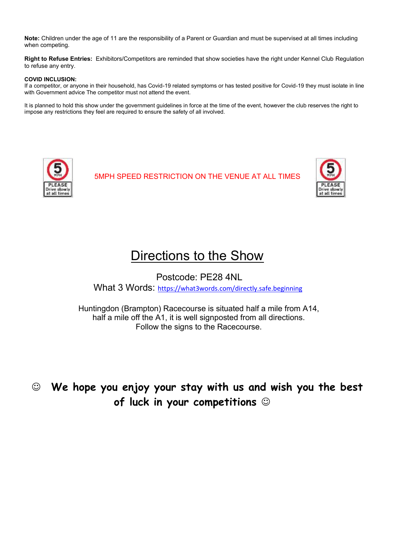**Note:** Children under the age of 11 are the responsibility of a Parent or Guardian and must be supervised at all times including when competing.

**Right to Refuse Entries:** Exhibitors/Competitors are reminded that show societies have the right under Kennel Club Regulation to refuse any entry.

#### **COVID INCLUSION:**

If a competitor, or anyone in their household, has Covid-19 related symptoms or has tested positive for Covid-19 they must isolate in line with Government advice The competitor must not attend the event.

It is planned to hold this show under the government guidelines in force at the time of the event, however the club reserves the right to impose any restrictions they feel are required to ensure the safety of all involved.



5MPH SPEED RESTRICTION ON THE VENUE AT ALL TIMES



## Directions to the Show

Postcode: PE28 4NL What 3 Words: <https://what3words.com/directly.safe.beginning>

Huntingdon (Brampton) Racecourse is situated half a mile from A14, half a mile off the A1, it is well signposted from all directions. Follow the signs to the Racecourse.

☺ **We hope you enjoy your stay with us and wish you the best of luck in your competitions** ☺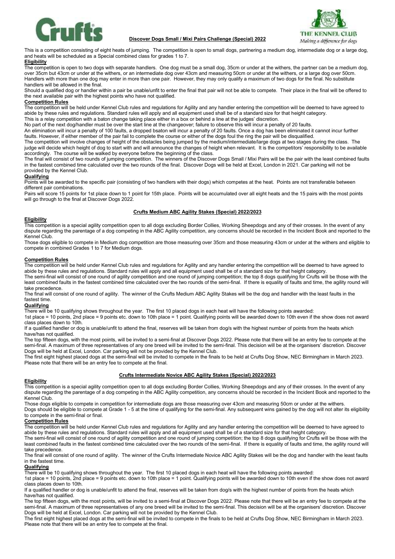

#### **Discover Dogs Small / Mixi Pairs Challenge (Special) 2022**



This is a competition consisting of eight heats of jumping. The competition is open to small dogs, partnering a medium dog, intermediate dog or a large dog, and heats will be scheduled as a Special combined class for grades 1 to 7.

#### **Eligibility**

The competition is open to two dogs with separate handlers. One dog must be a small dog, 35cm or under at the withers, the partner can be a medium dog, over 35cm but 43cm or under at the withers, or an intermediate dog over 43cm and measuring 50cm or under at the withers, or a large dog over 50cm. Handlers with more than one dog may enter in more than one pair. However, they may only qualify a maximum of two dogs for the final. No substitute handlers will be allowed in the final.

Should a qualified dog or handler within a pair be unable/unfit to enter the final that pair will not be able to compete. Their place in the final will be offered to the next available pair with the highest points who have not qualified.

#### **Competition Rules**

The competition will be held under Kennel Club rules and regulations for Agility and any handler entering the competition will be deemed to have agreed to abide by these rules and regulations. Standard rules will apply and all equipment used shall be of a standard size for that height category.

This is a relay competition with a baton change taking place either in a box or behind a line at the judges' discretion.

No part of the next dog/handler must be over the start line at the changeover; failure to observe this will incur a penalty of 20 faults. An elimination will incur a penalty of 100 faults, a dropped bsaton will incur a penalty of 20 faults. Once a dog has been eliminated it cannot incur further

faults. However, if either member of the pair fail to complete the course or either of the dogs foul the ring the pair will be disqualified.

The competition will involve changes of height of the obstacles being jumped by the medium/intermediate/large dogs at two stages during the class. The judge will decide which height of dog to start with and will announce the changes of height when relevant. It is the competitors' responsibility to be available accordingly. The course will be walked by everyone before the beginning of the class.

The final will consist of two rounds of jumping competition. The winners of the Discover Dogs Small / Mixi Pairs will be the pair with the least combined faults in the fastest combined time calculated over the two rounds of the final. Discover Dogs will be held at Excel, London in 2021. Car parking will not be provided by the Kennel Club.

#### **Qualifying**

Points will be awarded to the specific pair (consisting of two handlers with their dogs) which competes at the heat. Points are not transferable between different pair combinations.

Pairs will score 15 points for 1st place down to 1 point for 15th place. Points will be accumulated over all eight heats and the 15 pairs with the most points will go through to the final at Discover Dogs 2022.

#### **Crufts Medium ABC Agility Stakes (Special) 2022/2023**

#### **Eligibility**

This competition is a special agility competition open to all dogs excluding Border Collies, Working Sheepdogs and any of their crosses. In the event of any dispute regarding the parentage of a dog competing in the ABC Agility competition, any concerns should be recorded in the Incident Book and reported to the Kennel Club.

Those dogs eligible to compete in Medium dog competition are those measuring over 35cm and those measuring 43cm or under at the withers and eligible to compete in combined Grades 1 to 7 for Medium dogs.

#### **Competition Rules**

The competition will be held under Kennel Club rules and regulations for Agility and any handler entering the competition will be deemed to have agreed to abide by these rules and regulations. Standard rules will apply and all equipment used shall be of a standard size for that height category.

The semi-final will consist of one round of agility competition and one round of jumping competition; the top 8 dogs qualifying for Crufts will be those with the least combined faults in the fastest combined time calculated over the two rounds of the semi-final. If there is equality of faults and time, the agility round will take precedence.

The final will consist of one round of agility. The winner of the Crufts Medium ABC Agility Stakes will be the dog and handler with the least faults in the fastest time.

#### **Qualifying**

There will be 10 qualifying shows throughout the year. The first 10 placed dogs in each heat will have the following points awarded:

1st place = 10 points, 2nd place = 9 points etc. down to 10th place = 1 point. Qualifying points will be awarded down to 10th even if the show does not award class places down to 10th.

If a qualified handler or dog is unable/unfit to attend the final, reserves will be taken from dog/s with the highest number of points from the heats which have/has not qualified.

The top fifteen dogs, with the most points, will be invited to a semi-final at Discover Dogs 2022. Please note that there will be an entry fee to compete at the semi-final. A maximum of three representatives of any one breed will be invited to the semi-final. This decision will be at the organisers' discretion. Discover Dogs will be held at Excel, London. Car parking will not be provided by the Kennel Club.

The first eight highest placed dogs at the semi-final will be invited to compete in the finals to be held at Crufts Dog Show, NEC Birmingham in March 2023. Please note that there will be an entry fee to compete at the final.

#### **Crufts Intermediate Novice ABC Agility Stakes (Special) 2022/2023**

#### **Eligibility**

This competition is a special agility competition open to all dogs excluding Border Collies, Working Sheepdogs and any of their crosses. In the event of any dispute regarding the parentage of a dog competing in the ABC Agility competition, any concerns should be recorded in the Incident Book and reported to the Kennel Club.

Those dogs eligible to compete in competition for intermediate dogs are those measuring over 43cm and measuring 50cm or under at the withers.

Dogs should be eligible to compete at Grade 1 - 5 at the time of qualifying for the semi-final. Any subsequent wins gained by the dog will not alter its eligibility to compete in the semi-final or final.

#### **Competition Rules**

The competition will be held under Kennel Club rules and regulations for Agility and any handler entering the competition will be deemed to have agreed to abide by these rules and regulations. Standard rules will apply and all equipment used shall be of a standard size for that height category.

The semi-final will consist of one round of agility competition and one round of jumping competition; the top 8 dogs qualifying for Crufts will be those with the least combined faults in the fastest combined time calculated over the two rounds of the semi-final. If there is equality of faults and time, the agility round will take precedence.

The final will consist of one round of agility. The winner of the Crufts Intermediate Novice ABC Agility Stakes will be the dog and handler with the least faults in the fastest time.

#### **Qualifying**

There will be 10 qualifying shows throughout the year. The first 10 placed dogs in each heat will have the following points awarded:

1st place = 10 points, 2nd place = 9 points etc. down to 10th place = 1 point. Qualifying points will be awarded down to 10th even if the show does not award class places down to 10th.

If a qualified handler or dog is unable/unfit to attend the final, reserves will be taken from dog/s with the highest number of points from the heats which have/has not qualified.

The top fifteen dogs, with the most points, will be invited to a semi-final at Discover Dogs 2022. Please note that there will be an entry fee to compete at the semi-final. A maximum of three representatives of any one breed will be invited to the semi-final. This decision will be at the organisers' discretion. Discover Dogs will be held at Excel, London. Car parking will not be provided by the Kennel Club.

The first eight highest placed dogs at the semi-final will be invited to compete in the finals to be held at Crufts Dog Show, NEC Birmingham in March 2023. Please note that there will be an entry fee to compete at the final.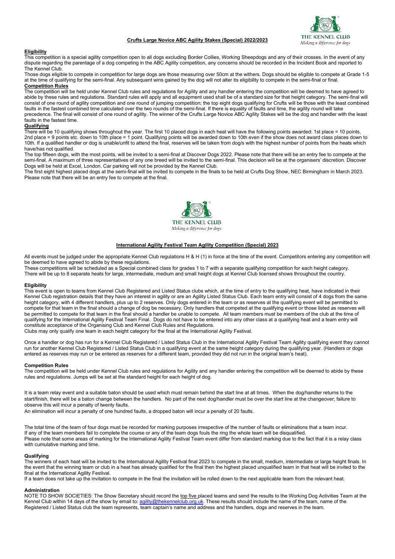## THE KEI  $C111R$ Making a difference for dogs

#### **Crufts Large Novice ABC Agility Stakes (Special) 2022/2023**

#### **Eligibility**

This competition is a special agility competition open to all dogs excluding Border Collies, Working Sheepdogs and any of their crosses. In the event of any dispute regarding the parentage of a dog competing in the ABC Agility competition, any concerns should be recorded in the Incident Book and reported to The Kennel Club.

Those dogs eligible to compete in competition for large dogs are those measuring over 50cm at the withers. Dogs should be eligible to compete at Grade 1-5 at the time of qualifying for the semi-final. Any subsequent wins gained by the dog will not alter its eligibility to compete in the semi-final or final. **Competition Rules** 

#### The competition will be held under Kennel Club rules and regulations for Agility and any handler entering the competition will be deemed to have agreed to abide by these rules and regulations. Standard rules will apply and all equipment used shall be of a standard size for that height category. The semi-final will consist of one round of agility competition and one round of jumping competition; the top eight dogs qualifying for Crufts will be those with the least combined faults in the fastest combined time calculated over the two rounds of the semi-final. If there is equality of faults and time, the agility round will take precedence. The final will consist of one round of agility. The winner of the Crufts Large Novice ABC Agility Stakes will be the dog and handler with the least faults in the fastest time.

#### **Qualifying**

There will be 10 qualifying shows throughout the year. The first 10 placed dogs in each heat will have the following points awarded: 1st place = 10 points, 2nd place = 9 points etc. down to 10th place = 1 point. Qualifying points will be awarded down to 10th even if the show does not award class places down to 10th. If a qualified handler or dog is unable/unfit to attend the final, reserves will be taken from dog/s with the highest number of points from the heats which have/has not qualified.

The top fifteen dogs, with the most points, will be invited to a semi-final at Discover Dogs 2022. Please note that there will be an entry fee to compete at the semi-final. A maximum of three representatives of any one breed will be invited to the semi-final. This decision will be at the organisers' discretion. Discover Dogs will be held at Excel, London. Car parking will not be provided by the Kennel Club.

The first eight highest placed dogs at the semi-final will be invited to compete in the finals to be held at Crufts Dog Show, NEC Birmingham in March 2023. Please note that there will be an entry fee to compete at the final.



#### **International Agility Festival Team Agility Competition (Special) 2023**

All events must be judged under the appropriate Kennel Club regulations H & H (1) in force at the time of the event. Competitors entering any competition will be deemed to have agreed to abide by these regulations.

These competitions will be scheduled as a Special combined class for grades 1 to 7 with a separate qualifying competition for each height category. There will be up to 8 separate heats for large, intermediate, medium and small height dogs at Kennel Club licensed shows throughout the country.

#### **Eligibility**

This event is open to teams from Kennel Club Registered and Listed Status clubs which, at the time of entry to the qualifying heat, have indicated in their Kennel Club registration details that they have an interest in agility or are an Agility Listed Status Club. Each team entry will consist of 4 dogs from the same height category, with 4 different handlers, plus up to 2 reserves. Only dogs entered in the team or as reserves at the qualifying event will be permitted to compete for that team in the final should a change of dog be necessary. Only handlers that competed at the qualifying event or those listed as reserves will be permitted to compete for that team in the final should a handler be unable to compete. All team members must be members of the club at the time of qualifying for the International Agility Festival Team Final. Dogs do not have to be entered into any other class at a qualifying heat and a team entry will constitute acceptance of the Organising Club and Kennel Club Rules and Regulations. Clubs may only qualify one team in each height category for the final at the International Agility Festival.

Once a handler or dog has run for a Kennel Club Registered / Listed Status Club in the International Agility Festival Team Agility qualifying event they cannot run for another Kennel Club Registered / Listed Status Club in a qualifying event at the same height category during the qualifying year. (Handlers or dogs entered as reserves may run or be entered as reserves for a different team, provided they did not run in the original team's heat).

#### **Competition Rules**

The competition will be held under Kennel Club rules and regulations for Agility and any handler entering the competition will be deemed to abide by these rules and regulations. Jumps will be set at the standard height for each height of dog.

It is a team relay event and a suitable baton should be used which must remain behind the start line at all times. When the dog/handler returns to the start/finish, there will be a baton change between the handlers. No part of the next dog/handler must be over the start line at the changeover; failure to observe this will incur a penalty of twenty faults.

An elimination will incur a penalty of one hundred faults, a dropped baton will incur a penalty of 20 faults.

The total time of the team of four dogs must be recorded for marking purposes irrespective of the number of faults or eliminations that a team incur. If any of the team members fail to complete the course or any of the team dogs fouls the ring the whole team will be disqualified. Please note that some areas of marking for the International Agility Festival Team event differ from standard marking due to the fact that it is a relay class with cumulative marking and time.

#### **Qualifying**

The winners of each heat will be invited to the International Agility Festival final 2023 to compete in the small, medium, intermediate or large height finals. In the event that the winning team or club in a heat has already qualified for the final then the highest placed unqualified team in that heat will be invited to the final at the International Agility Festival.

If a team does not take up the invitation to compete in the final the invitation will be rolled down to the next applicable team from the relevant heat.

#### **Administration**

NOTE TO SHOW SOCIETIES: The Show Secretary should record the <u>top five p</u>laced teams and send the results to the Working Dog Activities Team at the Kennel Club within 14 days of the show by email to: <u>agility@thekennelclub.org.uk</u>. These results should include the name of the team, name of the Registered / Listed Status club the team represents, team captain's name and address and the handlers, dogs and reserves in the team.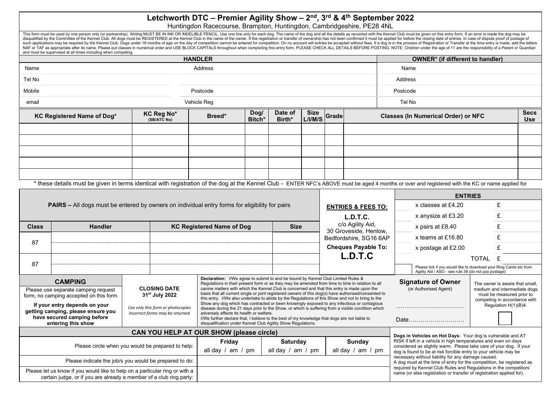## **Letchworth DTC – Premier Agility Show – 2 nd , 3 rd & 4 th September 2022**

|              |                                                                                                                                                                                                                                                                                                                                                                                                                                                                                                                                                                                                                                                                                                                                                                                                                                                                                                                                           |                                                                                                | Let $U$ in $U$ is $U$ is a set $U$ in $U$ in $U$ in $U$ in $U$ in $U$ is $U$ if $U$ is $U$ is $U$ is $U$ if $U$ is $U$ is $U$ if $U$ is $U$ if $U$ is $U$ is $U$ if $U$ is $U$ is $U$ if $U$ is $U$ is $U$ is $U$ if $U$ is<br>Huntingdon Racecourse, Brampton, Huntingdon, Cambridgeshire, PE28 4NL |                   |                                                                                                                                                                                                           |                            |                                                                  |                                                                                                                                                                                                                                                                                                                                                                                                                                                                                                                                                                                                                                                                                                                                                                                                                                                                                                                                      |         |  |  |  |  |                    |   |  |
|--------------|-------------------------------------------------------------------------------------------------------------------------------------------------------------------------------------------------------------------------------------------------------------------------------------------------------------------------------------------------------------------------------------------------------------------------------------------------------------------------------------------------------------------------------------------------------------------------------------------------------------------------------------------------------------------------------------------------------------------------------------------------------------------------------------------------------------------------------------------------------------------------------------------------------------------------------------------|------------------------------------------------------------------------------------------------|------------------------------------------------------------------------------------------------------------------------------------------------------------------------------------------------------------------------------------------------------------------------------------------------------|-------------------|-----------------------------------------------------------------------------------------------------------------------------------------------------------------------------------------------------------|----------------------------|------------------------------------------------------------------|--------------------------------------------------------------------------------------------------------------------------------------------------------------------------------------------------------------------------------------------------------------------------------------------------------------------------------------------------------------------------------------------------------------------------------------------------------------------------------------------------------------------------------------------------------------------------------------------------------------------------------------------------------------------------------------------------------------------------------------------------------------------------------------------------------------------------------------------------------------------------------------------------------------------------------------|---------|--|--|--|--|--------------------|---|--|
|              | and must be supervised at all times including when competing.                                                                                                                                                                                                                                                                                                                                                                                                                                                                                                                                                                                                                                                                                                                                                                                                                                                                             |                                                                                                |                                                                                                                                                                                                                                                                                                      |                   |                                                                                                                                                                                                           |                            |                                                                  | This form must be used by one person only (or partnership). Writing MUST BE IN INK OR INDELIBLE PENCIL. Use one line only for each dog. The name of the dog and all the details as recorded with the Kennel Club must be given<br>disqualified by the Committee of the Kennel Club. All dogs must be REGISTERED at the Kennel Club in the name of the owner. If the registration or transfer of ownership has not been confirmed it must be applied for before t<br>such applications may be required by the Kennel Club. Dogs under 18 months of age on the day of competition cannot be entered for competition. On no account will entries be accepted without fees. If a dog is in the process<br>NAF or TAF as appropriate after its name. Please put classes in numerical order and USE BLOCK CAPITALS throughout when completing this entry form. PLEASE CHECK ALL DETAILS BEFORE POSTING. NOTE: Children under the age of 11 |         |  |  |  |  |                    |   |  |
|              |                                                                                                                                                                                                                                                                                                                                                                                                                                                                                                                                                                                                                                                                                                                                                                                                                                                                                                                                           |                                                                                                | <b>HANDLER</b>                                                                                                                                                                                                                                                                                       |                   |                                                                                                                                                                                                           |                            |                                                                  | <b>OWNER*</b> (if different to handler)                                                                                                                                                                                                                                                                                                                                                                                                                                                                                                                                                                                                                                                                                                                                                                                                                                                                                              |         |  |  |  |  |                    |   |  |
| Name         |                                                                                                                                                                                                                                                                                                                                                                                                                                                                                                                                                                                                                                                                                                                                                                                                                                                                                                                                           |                                                                                                | Address                                                                                                                                                                                                                                                                                              |                   |                                                                                                                                                                                                           |                            |                                                                  | Name                                                                                                                                                                                                                                                                                                                                                                                                                                                                                                                                                                                                                                                                                                                                                                                                                                                                                                                                 |         |  |  |  |  |                    |   |  |
| Tel No       |                                                                                                                                                                                                                                                                                                                                                                                                                                                                                                                                                                                                                                                                                                                                                                                                                                                                                                                                           |                                                                                                |                                                                                                                                                                                                                                                                                                      |                   |                                                                                                                                                                                                           |                            |                                                                  | Address                                                                                                                                                                                                                                                                                                                                                                                                                                                                                                                                                                                                                                                                                                                                                                                                                                                                                                                              |         |  |  |  |  |                    |   |  |
| Mobile       |                                                                                                                                                                                                                                                                                                                                                                                                                                                                                                                                                                                                                                                                                                                                                                                                                                                                                                                                           |                                                                                                | Postcode                                                                                                                                                                                                                                                                                             |                   |                                                                                                                                                                                                           |                            |                                                                  | Postcode                                                                                                                                                                                                                                                                                                                                                                                                                                                                                                                                                                                                                                                                                                                                                                                                                                                                                                                             |         |  |  |  |  |                    |   |  |
| email        |                                                                                                                                                                                                                                                                                                                                                                                                                                                                                                                                                                                                                                                                                                                                                                                                                                                                                                                                           |                                                                                                | Vehicle Req                                                                                                                                                                                                                                                                                          |                   |                                                                                                                                                                                                           |                            |                                                                  | Tel No                                                                                                                                                                                                                                                                                                                                                                                                                                                                                                                                                                                                                                                                                                                                                                                                                                                                                                                               |         |  |  |  |  |                    |   |  |
|              | KC Registered Name of Dog*                                                                                                                                                                                                                                                                                                                                                                                                                                                                                                                                                                                                                                                                                                                                                                                                                                                                                                                | KC Reg No*<br>(SB/ATC No)                                                                      | Dog/<br>Breed*<br>Bitch*                                                                                                                                                                                                                                                                             | Date of<br>Birth* | <b>Size</b><br>L/I/M/S                                                                                                                                                                                    | Grade                      |                                                                  | <b>Secs</b><br><b>Classes (In Numerical Order) or NFC</b><br><b>Use</b>                                                                                                                                                                                                                                                                                                                                                                                                                                                                                                                                                                                                                                                                                                                                                                                                                                                              |         |  |  |  |  |                    |   |  |
|              |                                                                                                                                                                                                                                                                                                                                                                                                                                                                                                                                                                                                                                                                                                                                                                                                                                                                                                                                           |                                                                                                |                                                                                                                                                                                                                                                                                                      |                   |                                                                                                                                                                                                           |                            |                                                                  |                                                                                                                                                                                                                                                                                                                                                                                                                                                                                                                                                                                                                                                                                                                                                                                                                                                                                                                                      |         |  |  |  |  |                    |   |  |
|              |                                                                                                                                                                                                                                                                                                                                                                                                                                                                                                                                                                                                                                                                                                                                                                                                                                                                                                                                           |                                                                                                |                                                                                                                                                                                                                                                                                                      |                   |                                                                                                                                                                                                           |                            |                                                                  |                                                                                                                                                                                                                                                                                                                                                                                                                                                                                                                                                                                                                                                                                                                                                                                                                                                                                                                                      |         |  |  |  |  |                    |   |  |
|              |                                                                                                                                                                                                                                                                                                                                                                                                                                                                                                                                                                                                                                                                                                                                                                                                                                                                                                                                           |                                                                                                |                                                                                                                                                                                                                                                                                                      |                   |                                                                                                                                                                                                           |                            |                                                                  |                                                                                                                                                                                                                                                                                                                                                                                                                                                                                                                                                                                                                                                                                                                                                                                                                                                                                                                                      |         |  |  |  |  |                    |   |  |
|              |                                                                                                                                                                                                                                                                                                                                                                                                                                                                                                                                                                                                                                                                                                                                                                                                                                                                                                                                           |                                                                                                |                                                                                                                                                                                                                                                                                                      |                   |                                                                                                                                                                                                           |                            |                                                                  |                                                                                                                                                                                                                                                                                                                                                                                                                                                                                                                                                                                                                                                                                                                                                                                                                                                                                                                                      |         |  |  |  |  |                    |   |  |
|              |                                                                                                                                                                                                                                                                                                                                                                                                                                                                                                                                                                                                                                                                                                                                                                                                                                                                                                                                           |                                                                                                |                                                                                                                                                                                                                                                                                                      |                   |                                                                                                                                                                                                           |                            |                                                                  |                                                                                                                                                                                                                                                                                                                                                                                                                                                                                                                                                                                                                                                                                                                                                                                                                                                                                                                                      |         |  |  |  |  |                    |   |  |
|              |                                                                                                                                                                                                                                                                                                                                                                                                                                                                                                                                                                                                                                                                                                                                                                                                                                                                                                                                           |                                                                                                |                                                                                                                                                                                                                                                                                                      |                   |                                                                                                                                                                                                           |                            |                                                                  | * these details must be given in terms identical with registration of the dog at the Kennel Club - ENTER NFC's ABOVE must be aged 4 months or over and registered with the KC or name applied for                                                                                                                                                                                                                                                                                                                                                                                                                                                                                                                                                                                                                                                                                                                                    |         |  |  |  |  |                    |   |  |
|              |                                                                                                                                                                                                                                                                                                                                                                                                                                                                                                                                                                                                                                                                                                                                                                                                                                                                                                                                           |                                                                                                |                                                                                                                                                                                                                                                                                                      |                   |                                                                                                                                                                                                           |                            |                                                                  | <b>ENTRIES</b>                                                                                                                                                                                                                                                                                                                                                                                                                                                                                                                                                                                                                                                                                                                                                                                                                                                                                                                       |         |  |  |  |  |                    |   |  |
|              |                                                                                                                                                                                                                                                                                                                                                                                                                                                                                                                                                                                                                                                                                                                                                                                                                                                                                                                                           | PAIRS - All dogs must be entered by owners on individual entry forms for eligibility for pairs |                                                                                                                                                                                                                                                                                                      |                   |                                                                                                                                                                                                           |                            | <b>ENTRIES &amp; FEES TO:</b>                                    | x classes at £4.20                                                                                                                                                                                                                                                                                                                                                                                                                                                                                                                                                                                                                                                                                                                                                                                                                                                                                                                   | £       |  |  |  |  |                    |   |  |
|              |                                                                                                                                                                                                                                                                                                                                                                                                                                                                                                                                                                                                                                                                                                                                                                                                                                                                                                                                           |                                                                                                |                                                                                                                                                                                                                                                                                                      |                   |                                                                                                                                                                                                           |                            | L.D.T.C.                                                         | x anysize at £3.20                                                                                                                                                                                                                                                                                                                                                                                                                                                                                                                                                                                                                                                                                                                                                                                                                                                                                                                   | £       |  |  |  |  |                    |   |  |
| <b>Class</b> | <b>Handler</b>                                                                                                                                                                                                                                                                                                                                                                                                                                                                                                                                                                                                                                                                                                                                                                                                                                                                                                                            |                                                                                                | <b>KC Registered Name of Dog</b>                                                                                                                                                                                                                                                                     | <b>Size</b>       |                                                                                                                                                                                                           |                            | c/o Agility Aid,<br>30 Groveside, Henlow,                        | x pairs at £8.40                                                                                                                                                                                                                                                                                                                                                                                                                                                                                                                                                                                                                                                                                                                                                                                                                                                                                                                     | £       |  |  |  |  |                    |   |  |
| 87           |                                                                                                                                                                                                                                                                                                                                                                                                                                                                                                                                                                                                                                                                                                                                                                                                                                                                                                                                           |                                                                                                |                                                                                                                                                                                                                                                                                                      |                   |                                                                                                                                                                                                           |                            | Bedfordshire, SG16 6AP                                           | x teams at £16.80                                                                                                                                                                                                                                                                                                                                                                                                                                                                                                                                                                                                                                                                                                                                                                                                                                                                                                                    | £       |  |  |  |  |                    |   |  |
|              |                                                                                                                                                                                                                                                                                                                                                                                                                                                                                                                                                                                                                                                                                                                                                                                                                                                                                                                                           |                                                                                                |                                                                                                                                                                                                                                                                                                      |                   |                                                                                                                                                                                                           | <b>Cheques Payable To:</b> |                                                                  |                                                                                                                                                                                                                                                                                                                                                                                                                                                                                                                                                                                                                                                                                                                                                                                                                                                                                                                                      |         |  |  |  |  | x postage at £2.00 | £ |  |
| 87           |                                                                                                                                                                                                                                                                                                                                                                                                                                                                                                                                                                                                                                                                                                                                                                                                                                                                                                                                           |                                                                                                |                                                                                                                                                                                                                                                                                                      |                   |                                                                                                                                                                                                           |                            | L.D.T.C                                                          |                                                                                                                                                                                                                                                                                                                                                                                                                                                                                                                                                                                                                                                                                                                                                                                                                                                                                                                                      | TOTAL £ |  |  |  |  |                    |   |  |
|              |                                                                                                                                                                                                                                                                                                                                                                                                                                                                                                                                                                                                                                                                                                                                                                                                                                                                                                                                           |                                                                                                |                                                                                                                                                                                                                                                                                                      |                   |                                                                                                                                                                                                           |                            |                                                                  | Please tick if you would like to download your Ring Cards etc from<br>Agility Aid / ASO - see rule 38 (do not pay postage)                                                                                                                                                                                                                                                                                                                                                                                                                                                                                                                                                                                                                                                                                                                                                                                                           |         |  |  |  |  |                    |   |  |
|              | <b>Declaration:</b> I/We agree to submit to and be bound by Kennel Club Limited Rules &<br><b>CAMPING</b><br>Regulations in their present form or as they may be amended from time to time in relation to all<br><b>CLOSING DATE</b><br>canine matters with which the Kennel Club is concerned and that this entry is made upon the<br>Please use separate camping request<br>basis that all current single or joint registered owners of this dog(s) have authorised/consented to<br>31 <sup>st</sup> July 2022<br>form, no camping accepted on this form<br>this entry. I/We also undertake to abide by the Regulations of this Show and not to bring to the<br>Show any dog which has contracted or been knowingly exposed to any infectious or contagious<br>If your entry depends on your<br>Use only this form or photocopies<br>disease during the 21 days prior to the Show, or which is suffering from a visible condition which |                                                                                                |                                                                                                                                                                                                                                                                                                      |                   | <b>Signature of Owner</b><br>The owner is aware that small,<br>(or Authorised Agent)<br>medium and intermediate dogs<br>must be measured prior to<br>competing in accordance with<br>Regulation H(1)(B)4. |                            |                                                                  |                                                                                                                                                                                                                                                                                                                                                                                                                                                                                                                                                                                                                                                                                                                                                                                                                                                                                                                                      |         |  |  |  |  |                    |   |  |
|              | getting camping, please ensure you<br>have secured camping before<br>entering this show                                                                                                                                                                                                                                                                                                                                                                                                                                                                                                                                                                                                                                                                                                                                                                                                                                                   | Incorrect forms may be returned                                                                | adversely affects its health or welfare.<br>I/We further declare that, I believe to the best of my knowledge that dogs are not liable to<br>disqualification under Kennel Club Agility Show Regulations.                                                                                             |                   |                                                                                                                                                                                                           |                            |                                                                  | Date                                                                                                                                                                                                                                                                                                                                                                                                                                                                                                                                                                                                                                                                                                                                                                                                                                                                                                                                 |         |  |  |  |  |                    |   |  |
|              |                                                                                                                                                                                                                                                                                                                                                                                                                                                                                                                                                                                                                                                                                                                                                                                                                                                                                                                                           | CAN YOU HELP AT OUR SHOW (please circle)                                                       |                                                                                                                                                                                                                                                                                                      |                   |                                                                                                                                                                                                           |                            |                                                                  | Dogs in Vehicles on Hot Days: Your dog is vulnerable and AT                                                                                                                                                                                                                                                                                                                                                                                                                                                                                                                                                                                                                                                                                                                                                                                                                                                                          |         |  |  |  |  |                    |   |  |
|              |                                                                                                                                                                                                                                                                                                                                                                                                                                                                                                                                                                                                                                                                                                                                                                                                                                                                                                                                           | Please circle when you would be prepared to help:                                              | Friday                                                                                                                                                                                                                                                                                               | <b>Saturday</b>   |                                                                                                                                                                                                           |                            | <b>Sunday</b>                                                    | RISK if left in a vehicle in high temperatures and even on days<br>considered as slightly warm. Please take care of your dog. If your                                                                                                                                                                                                                                                                                                                                                                                                                                                                                                                                                                                                                                                                                                                                                                                                |         |  |  |  |  |                    |   |  |
|              |                                                                                                                                                                                                                                                                                                                                                                                                                                                                                                                                                                                                                                                                                                                                                                                                                                                                                                                                           | all day / am / pm                                                                              | all day / am / pm                                                                                                                                                                                                                                                                                    |                   |                                                                                                                                                                                                           | all day / am / pm          | dog is found to be at risk forcible entry to your vehicle may be |                                                                                                                                                                                                                                                                                                                                                                                                                                                                                                                                                                                                                                                                                                                                                                                                                                                                                                                                      |         |  |  |  |  |                    |   |  |

necessary without liability for any damage caused. A dog must at the time of entry for the competition, be registered as required by Kennel Club Rules and Regulations in the competitors' name (or else registration or transfer of registration applied for). Please indicate the job/s you would be prepared to do: Please let us know if you would like to help on a particular ring or with a certain judge, or if you are already a member of a club ring party: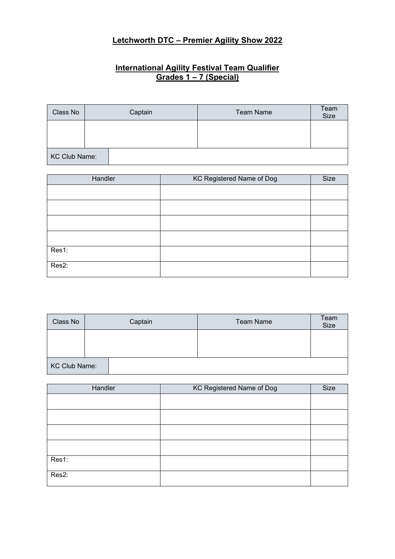## **Letchworth DTC – Premier Agility Show 2022**

## **International Agility Festival Team Qualifier Grades 1 – 7 (Special)**

| Class No             | Captain | <b>Team Name</b> | Team<br>Size |
|----------------------|---------|------------------|--------------|
|                      |         |                  |              |
|                      |         |                  |              |
| <b>KC Club Name:</b> |         |                  |              |

| Handler | <b>KC Registered Name of Dog</b> | Size |
|---------|----------------------------------|------|
|         |                                  |      |
|         |                                  |      |
|         |                                  |      |
|         |                                  |      |
| Res1:   |                                  |      |
| Res2:   |                                  |      |

| Class No             | Captain | <b>Team Name</b> | Team<br>Size |
|----------------------|---------|------------------|--------------|
|                      |         |                  |              |
|                      |         |                  |              |
| <b>KC Club Name:</b> |         |                  |              |

| Handler | KC Registered Name of Dog | Size |
|---------|---------------------------|------|
|         |                           |      |
|         |                           |      |
|         |                           |      |
|         |                           |      |
| Res1:   |                           |      |
| Res2:   |                           |      |